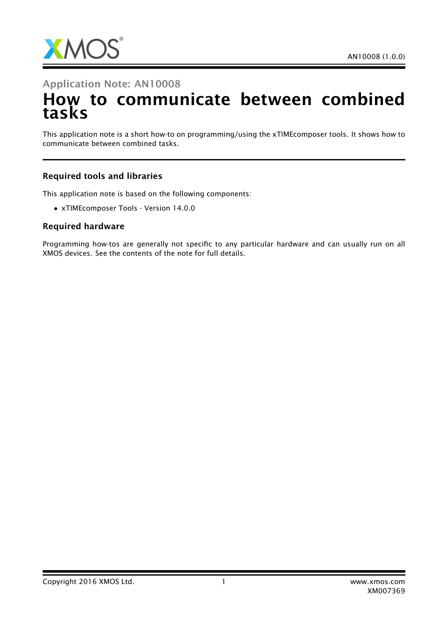

## Application Note: AN10008

# How to communicate between combined tasks

This application note is a short how-to on programming/using the xTIMEcomposer tools. It shows how to communicate between combined tasks.

#### Required tools and libraries

This application note is based on the following components:

• xTIMEcomposer Tools - Version 14.0.0

#### Required hardware

Programming how-tos are generally not specific to any particular hardware and can usually run on all XMOS devices. See the contents of the note for full details.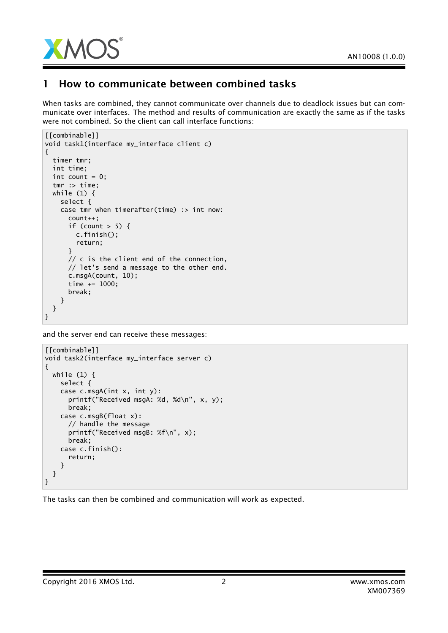

## 1 How to communicate between combined tasks

When tasks are combined, they cannot communicate over channels due to deadlock issues but can communicate over interfaces. The method and results of communication are exactly the same as if the tasks were not combined. So the client can call interface functions:

```
[[combinable]]
void task1(interface my_interface client c)
{
 timer tmr;
 int time;
 int count = 0;
 tmr :> time;
 while (1) {
    select {
    case tmr when timerafter(time) :> int now:
      count++;
      if (count > 5) {
        c.finish();
        return;
      }
      // c is the client end of the connection,
      // let's send a message to the other end.
      c.msgA(count, 10);
      time += 1000;
      break;
    }
 }
}
```
and the server end can receive these messages:

```
[[combinable]]
void task2(interface my_interface server c)
{
 while (1) {
    select {
    case c.msgA(int x, int y):
      printf("Received msgA: %d, %d\n", x, y);
      break;
    case c.msgB(float x):
      // handle the message
      printf("Received msgB: %f\n", x);
      break;
    case c.finish():
      return;
   }
 }
}
```
The tasks can then be combined and communication will work as expected.